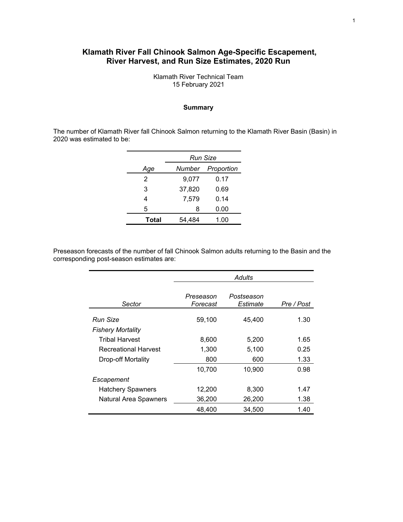#### **Klamath River Fall Chinook Salmon Age-Specific Escapement, River Harvest, and Run Size Estimates, 2020 Run**

Klamath River Technical Team 15 February 2021

#### **Summary**

The number of Klamath River fall Chinook Salmon returning to the Klamath River Basin (Basin) in 2020 was estimated to be:

|       | Run Size |            |  |  |  |
|-------|----------|------------|--|--|--|
| Age   | Number   | Proportion |  |  |  |
| 2     | 9,077    | 0.17       |  |  |  |
| 3     | 37,820   | 0.69       |  |  |  |
| 4     | 7,579    | 0.14       |  |  |  |
| 5     | 8        | 0.00       |  |  |  |
| Total | 54,484   | 1.00       |  |  |  |

Preseason forecasts of the number of fall Chinook Salmon adults returning to the Basin and the corresponding post-season estimates are:

|                              | Adults                |                        |            |  |
|------------------------------|-----------------------|------------------------|------------|--|
| Sector                       | Preseason<br>Forecast | Postseason<br>Estimate | Pre / Post |  |
| Run Size                     | 59,100                | 45,400                 | 1.30       |  |
| <b>Fishery Mortality</b>     |                       |                        |            |  |
| Tribal Harvest               | 8,600                 | 5,200                  | 1.65       |  |
| <b>Recreational Harvest</b>  | 1,300                 | 5,100                  | 0.25       |  |
| Drop-off Mortality           | 800                   | 600                    | 1.33       |  |
|                              | 10,700                | 10,900                 | 0.98       |  |
| Escapement                   |                       |                        |            |  |
| <b>Hatchery Spawners</b>     | 12,200                | 8,300                  | 1.47       |  |
| <b>Natural Area Spawners</b> | 36,200                | 26,200                 | 1.38       |  |
|                              | 48,400                | 34,500                 | 1.40       |  |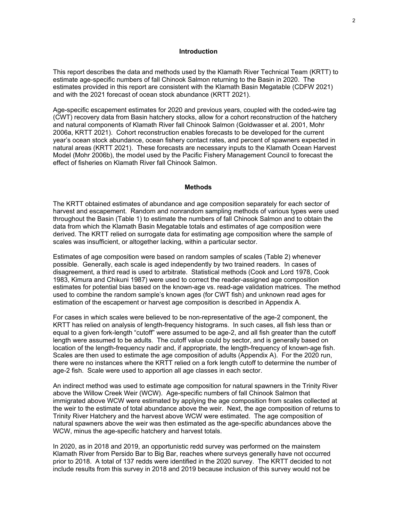#### **Introduction**

This report describes the data and methods used by the Klamath River Technical Team (KRTT) to estimate age-specific numbers of fall Chinook Salmon returning to the Basin in 2020. The estimates provided in this report are consistent with the Klamath Basin Megatable (CDFW 2021) and with the 2021 forecast of ocean stock abundance (KRTT 2021).

Age-specific escapement estimates for 2020 and previous years, coupled with the coded-wire tag (CWT) recovery data from Basin hatchery stocks, allow for a cohort reconstruction of the hatchery and natural components of Klamath River fall Chinook Salmon (Goldwasser et al. 2001, Mohr 2006a, KRTT 2021). Cohort reconstruction enables forecasts to be developed for the current year's ocean stock abundance, ocean fishery contact rates, and percent of spawners expected in natural areas (KRTT 2021). These forecasts are necessary inputs to the Klamath Ocean Harvest Model (Mohr 2006b), the model used by the Pacific Fishery Management Council to forecast the effect of fisheries on Klamath River fall Chinook Salmon.

#### **Methods**

The KRTT obtained estimates of abundance and age composition separately for each sector of harvest and escapement. Random and nonrandom sampling methods of various types were used throughout the Basin (Table 1) to estimate the numbers of fall Chinook Salmon and to obtain the data from which the Klamath Basin Megatable totals and estimates of age composition were derived. The KRTT relied on surrogate data for estimating age composition where the sample of scales was insufficient, or altogether lacking, within a particular sector.

Estimates of age composition were based on random samples of scales (Table 2) whenever possible. Generally, each scale is aged independently by two trained readers. In cases of disagreement, a third read is used to arbitrate. Statistical methods (Cook and Lord 1978, Cook 1983, Kimura and Chikuni 1987) were used to correct the reader-assigned age composition estimates for potential bias based on the known-age vs. read-age validation matrices. The method used to combine the random sample's known ages (for CWT fish) and unknown read ages for estimation of the escapement or harvest age composition is described in Appendix A.

For cases in which scales were believed to be non-representative of the age-2 component, the KRTT has relied on analysis of length-frequency histograms. In such cases, all fish less than or equal to a given fork-length "cutoff" were assumed to be age-2, and all fish greater than the cutoff length were assumed to be adults. The cutoff value could by sector, and is generally based on location of the length-frequency nadir and, if appropriate, the length-frequency of known-age fish. Scales are then used to estimate the age composition of adults (Appendix A). For the 2020 run, there were no instances where the KRTT relied on a fork length cutoff to determine the number of age-2 fish. Scale were used to apportion all age classes in each sector.

An indirect method was used to estimate age composition for natural spawners in the Trinity River above the Willow Creek Weir (WCW). Age-specific numbers of fall Chinook Salmon that immigrated above WCW were estimated by applying the age composition from scales collected at the weir to the estimate of total abundance above the weir. Next, the age composition of returns to Trinity River Hatchery and the harvest above WCW were estimated. The age composition of natural spawners above the weir was then estimated as the age-specific abundances above the WCW, minus the age-specific hatchery and harvest totals.

In 2020, as in 2018 and 2019, an opportunistic redd survey was performed on the mainstem Klamath River from Persido Bar to Big Bar, reaches where surveys generally have not occurred prior to 2018. A total of 137 redds were identified in the 2020 survey. The KRTT decided to not include results from this survey in 2018 and 2019 because inclusion of this survey would not be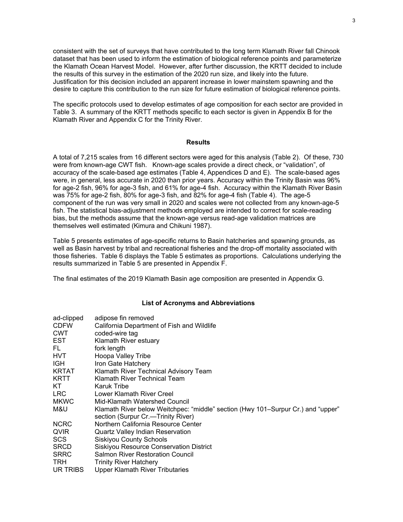consistent with the set of surveys that have contributed to the long term Klamath River fall Chinook dataset that has been used to inform the estimation of biological reference points and parameterize the Klamath Ocean Harvest Model. However, after further discussion, the KRTT decided to include the results of this survey in the estimation of the 2020 run size, and likely into the future. Justification for this decision included an apparent increase in lower mainstem spawning and the desire to capture this contribution to the run size for future estimation of biological reference points.

The specific protocols used to develop estimates of age composition for each sector are provided in Table 3. A summary of the KRTT methods specific to each sector is given in Appendix B for the Klamath River and Appendix C for the Trinity River.

#### **Results**

A total of 7,215 scales from 16 different sectors were aged for this analysis (Table 2). Of these, 730 were from known-age CWT fish. Known-age scales provide a direct check, or "validation", of accuracy of the scale-based age estimates (Table 4, Appendices D and E). The scale-based ages were, in general, less accurate in 2020 than prior years. Accuracy within the Trinity Basin was 96% for age-2 fish, 96% for age-3 fish, and 61% for age-4 fish. Accuracy within the Klamath River Basin was 75% for age-2 fish, 80% for age-3 fish, and 82% for age-4 fish (Table 4). The age-5 component of the run was very small in 2020 and scales were not collected from any known-age-5 fish. The statistical bias-adjustment methods employed are intended to correct for scale-reading bias, but the methods assume that the known-age versus read-age validation matrices are themselves well estimated (Kimura and Chikuni 1987).

Table 5 presents estimates of age-specific returns to Basin hatcheries and spawning grounds, as well as Basin harvest by tribal and recreational fisheries and the drop-off mortality associated with those fisheries. Table 6 displays the Table 5 estimates as proportions. Calculations underlying the results summarized in Table 5 are presented in Appendix F.

The final estimates of the 2019 Klamath Basin age composition are presented in Appendix G.

#### **List of Acronyms and Abbreviations**

| ad-clipped   | adipose fin removed                                                              |
|--------------|----------------------------------------------------------------------------------|
| <b>CDFW</b>  | California Department of Fish and Wildlife                                       |
| <b>CWT</b>   | coded-wire tag                                                                   |
| EST          | Klamath River estuary                                                            |
| FL.          | fork length                                                                      |
| <b>HVT</b>   | Hoopa Valley Tribe                                                               |
| <b>IGH</b>   | Iron Gate Hatchery                                                               |
| <b>KRTAT</b> | Klamath River Technical Advisory Team                                            |
| <b>KRTT</b>  | Klamath River Technical Team                                                     |
| KT           | Karuk Tribe                                                                      |
| LRC.         | Lower Klamath River Creel                                                        |
| <b>MKWC</b>  | Mid-Klamath Watershed Council                                                    |
| M&U          | Klamath River below Weitchpec: "middle" section (Hwy 101–Surpur Cr.) and "upper" |
|              | section (Surpur Cr.—Trinity River)                                               |
| NCRC         | Northern California Resource Center                                              |
| QVIR         | <b>Quartz Valley Indian Reservation</b>                                          |
| SCS.         | <b>Siskiyou County Schools</b>                                                   |
| <b>SRCD</b>  | Siskiyou Resource Conservation District                                          |
| <b>SRRC</b>  | <b>Salmon River Restoration Council</b>                                          |
| TRH          | <b>Trinity River Hatchery</b>                                                    |
| UR TRIBS     | <b>Upper Klamath River Tributaries</b>                                           |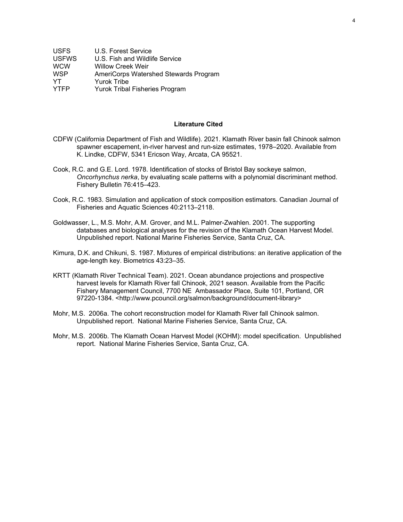| <b>USFS</b>  | U.S. Forest Service                   |
|--------------|---------------------------------------|
| <b>USFWS</b> | U.S. Fish and Wildlife Service        |
| <b>WCW</b>   | <b>Willow Creek Weir</b>              |
| <b>WSP</b>   | AmeriCorps Watershed Stewards Program |
| YT           | <b>Yurok Tribe</b>                    |
| <b>YTFP</b>  | <b>Yurok Tribal Fisheries Program</b> |
|              |                                       |

#### **Literature Cited**

- CDFW (California Department of Fish and Wildlife). 2021. Klamath River basin fall Chinook salmon spawner escapement, in-river harvest and run-size estimates, 1978–2020. Available from K. Lindke, CDFW, 5341 Ericson Way, Arcata, CA 95521.
- Cook, R.C. and G.E. Lord. 1978. Identification of stocks of Bristol Bay sockeye salmon, *Oncorhynchus nerka*, by evaluating scale patterns with a polynomial discriminant method. Fishery Bulletin 76:415–423.
- Cook, R.C. 1983. Simulation and application of stock composition estimators. Canadian Journal of Fisheries and Aquatic Sciences 40:2113–2118.
- Goldwasser, L., M.S. Mohr, A.M. Grover, and M.L. Palmer-Zwahlen. 2001. The supporting databases and biological analyses for the revision of the Klamath Ocean Harvest Model. Unpublished report. National Marine Fisheries Service, Santa Cruz, CA.
- Kimura, D.K. and Chikuni, S. 1987. Mixtures of empirical distributions: an iterative application of the age-length key. Biometrics 43:23–35.
- KRTT (Klamath River Technical Team). 2021. Ocean abundance projections and prospective harvest levels for Klamath River fall Chinook, 2021 season. Available from the Pacific Fishery Management Council, 7700 NE Ambassador Place, Suite 101, Portland, OR 97220-1384. <http://www.pcouncil.org/salmon/background/document-library>
- Mohr, M.S. 2006a. The cohort reconstruction model for Klamath River fall Chinook salmon. Unpublished report. National Marine Fisheries Service, Santa Cruz, CA.
- Mohr, M.S. 2006b. The Klamath Ocean Harvest Model (KOHM): model specification. Unpublished report. National Marine Fisheries Service, Santa Cruz, CA.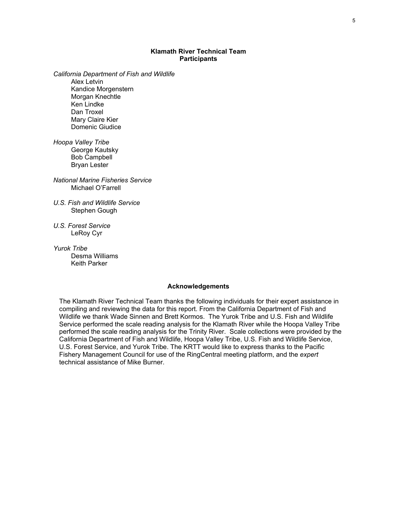#### **Klamath River Technical Team Participants**

*California Department of Fish and Wildlife*

Alex Letvin Kandice Morgenstern Morgan Knechtle Ken Lindke Dan Troxel Mary Claire Kier Domenic Giudice

*Hoopa Valley Tribe* George Kautsky Bob Campbell Bryan Lester

*National Marine Fisheries Service* Michael O'Farrell

*U.S. Fish and Wildlife Service* Stephen Gough

*U.S. Forest Service* LeRoy Cyr

*Yurok Tribe* Desma Williams Keith Parker

#### **Acknowledgements**

The Klamath River Technical Team thanks the following individuals for their expert assistance in compiling and reviewing the data for this report. From the California Department of Fish and Wildlife we thank Wade Sinnen and Brett Kormos. The Yurok Tribe and U.S. Fish and Wildlife Service performed the scale reading analysis for the Klamath River while the Hoopa Valley Tribe performed the scale reading analysis for the Trinity River. Scale collections were provided by the California Department of Fish and Wildlife, Hoopa Valley Tribe, U.S. Fish and Wildlife Service, U.S. Forest Service, and Yurok Tribe. The KRTT would like to express thanks to the Pacific Fishery Management Council for use of the RingCentral meeting platform, and the *expert* technical assistance of Mike Burner.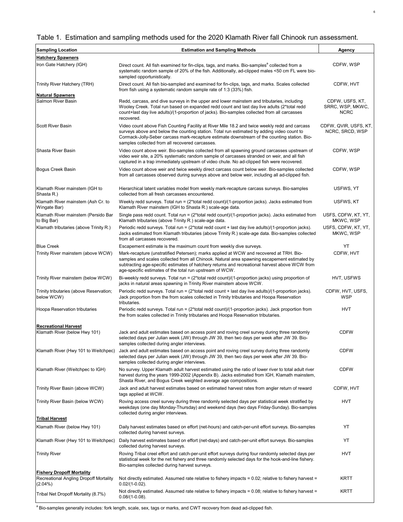| <b>Sampling Location</b>                                    | <b>Estimation and Sampling Methods</b>                                                                                                                                                                                                                                                                                                                | <b>Agency</b>                                      |
|-------------------------------------------------------------|-------------------------------------------------------------------------------------------------------------------------------------------------------------------------------------------------------------------------------------------------------------------------------------------------------------------------------------------------------|----------------------------------------------------|
| <b>Hatchery Spawners</b>                                    |                                                                                                                                                                                                                                                                                                                                                       |                                                    |
| Iron Gate Hatchery (IGH)                                    | Direct count. All fish examined for fin-clips, tags, and marks. Bio-samples <sup>a</sup> collected from a<br>systematic random sample of 20% of the fish. Additionally, ad-clipped males <50 cm FL were bio-<br>sampled opportunistically.                                                                                                            | CDFW, WSP                                          |
| Trinity River Hatchery (TRH)                                | Direct count. All fish bio-sampled and examined for fin-clips, tags, and marks. Scales collected<br>from fish using a systematic random sample rate of $1:3$ (33%) fish.                                                                                                                                                                              | CDFW, HVT                                          |
| <b>Natural Spawners</b>                                     |                                                                                                                                                                                                                                                                                                                                                       |                                                    |
| <b>Salmon River Basin</b>                                   | Redd, carcass, and dive surveys in the upper and lower mainstem and tributaries, including<br>Wooley Creek. Total run based on expanded redd count and last day live adults (2*total redd<br>count+last day live adults)/(1-proportion of jacks). Bio-samples collected from all carcasses<br>recovered.                                              | CDFW, USFS, KT,<br>SRRC, WSP, MKWC,<br><b>NCRC</b> |
| <b>Scott River Basin</b>                                    | Video count above Fish Counting Facility at River Mile 18.2 and twice weekly redd and carcass<br>surveys above and below the counting station. Total run estimated by adding video count to<br>Cormack-Jolly-Seber carcass mark-recapture estimate downstream of the counting station. Bio-<br>samples collected from all recovered carcasses.        | CDFW, QVIR, USFS, KT,<br>NCRC, SRCD, WSP           |
| İShasta River Basin                                         | Video count above weir. Bio-samples collected from all spawning ground carcasses upstream of<br>video weir site, a 20% systematic random sample of carcasses stranded on weir, and all fish<br>captured in a trap immediately upstream of video chute. No ad-clipped fish were recovered.                                                             | CDFW, WSP                                          |
| Bogus Creek Basin                                           | Video count above weir and twice weekly direct carcass count below weir. Bio-samples collected<br>from all carcasses observed during surveys above and below weir, including all ad-clipped fish.                                                                                                                                                     | CDFW, WSP                                          |
| Klamath River mainstem (IGH to<br>Shasta R.)                | Hierarchical latent variables model from weekly mark-recapture carcass surveys. Bio-samples<br>collected from all fresh carcasses encountered.                                                                                                                                                                                                        | USFWS, YT                                          |
| Klamath River mainstem (Ash Cr. to<br>Wingate Bar)          | Weekly redd surveys. Total run = $(2*$ total redd count)/(1-proportion jacks). Jacks estimated from<br>Klamath River mainstem (IGH to Shasta R.) scale-age data.                                                                                                                                                                                      | USFWS, KT                                          |
| to Big Bar)                                                 | Klamath River mainstem (Persido Bar Single pass redd count. Total run = (2*total redd count)/(1-proportion jacks). Jacks estimated from<br>Klamath tributaries (above Trinity R.) scale-age data.                                                                                                                                                     | USFS, CDFW, KT, YT,<br>MKWC, WSP                   |
| Klamath tributaries (above Trinity R.)                      | Periodic redd surveys. Total run = $(2*$ total redd count + last day live adults)/(1-proportion jacks).<br>Jacks estimated from Klamath tributaries (above Trinity R.) scale-age data. Bio-samples collected<br>from all carcasses recovered.                                                                                                         | USFS, CDFW, KT, YT,<br>MKWC, WSP                   |
| <b>Blue Creek</b>                                           | Escapement estimate is the maximum count from weekly dive surveys.                                                                                                                                                                                                                                                                                    | YT                                                 |
| Trinity River mainstem (above WCW)                          | Mark-recapture (unstratified Petersen); marks applied at WCW and recovered at TRH. Bio-<br>samples and scales collected from all Chinook. Natural area spawning escapement estimated by<br>subtracting age-specific estimates of hatchery returns and recreational harvest above WCW from<br>age-specific estimates of the total run upstream of WCW. | CDFW, HVT                                          |
| Trinity River mainstem (below WCW)                          | Bi-weekly redd surveys. Total run = $(2*$ total redd count)/(1-proportion jacks) using proportion of<br>jacks in natural areas spawning in Trinity River mainstem above WCW.                                                                                                                                                                          | HVT, USFWS                                         |
| Trinity tributaries (above Reservation;<br>below WCW)       | Periodic redd surveys. Total run = $(2*$ total redd count + last day live adults)/(1-proportion jacks).<br>Jack proportion from the from scales collected in Trinity tributaries and Hoopa Reservation<br>tributaries.                                                                                                                                | CDFW, HVT, USFS,<br><b>WSP</b>                     |
| Hoopa Reservation tributaries                               | Periodic redd surveys. Total run = $(2*$ total redd count)/(1-proportion jacks). Jack proportion from<br>the from scales collected in Trinity tributaries and Hoopa Reservation tributaries.                                                                                                                                                          | <b>HVT</b>                                         |
| <b>Recreational Harvest</b>                                 |                                                                                                                                                                                                                                                                                                                                                       |                                                    |
| Klamath River (below Hwy 101)                               | Jack and adult estimates based on access point and roving creel survey during three randomly<br>selected days per Julian week (JW) through JW 39, then two days per week after JW 39. Bio-<br>samples collected during angler interviews.                                                                                                             | <b>CDFW</b>                                        |
| Klamath River (Hwy 101 to Weitchpec)                        | Jack and adult estimates based on access point and roving creel survey during three randomly<br>selected days per Julian week (JW) through JW 39, then two days per week after JW 39. Bio-<br>samples collected during angler interviews.                                                                                                             | <b>CDFW</b>                                        |
| Klamath River (Weitchpec to IGH)                            | No survey. Upper Klamath adult harvest estimated using the ratio of lower river to total adult river<br>harvest during the years 1999-2002 (Appendix B). Jacks estimated from IGH, Klamath mainstem,<br>Shasta River, and Bogus Creek weighted average age compositions.                                                                              | <b>CDFW</b>                                        |
| Trinity River Basin (above WCW)                             | Jack and adult harvest estimates based on estimated harvest rates from angler return of reward<br>tags applied at WCW.                                                                                                                                                                                                                                | CDFW, HVT                                          |
| Trinity River Basin (below WCW)                             | Roving access creel survey during three randomly selected days per statistical week stratified by<br>weekdays (one day Monday-Thursday) and weekend days (two days Friday-Sunday). Bio-samples<br>collected during angler interviews.                                                                                                                 | <b>HVT</b>                                         |
| <b>Tribal Harvest</b>                                       |                                                                                                                                                                                                                                                                                                                                                       |                                                    |
| Klamath River (below Hwy 101)                               | Daily harvest estimates based on effort (net-hours) and catch-per-unit effort surveys. Bio-samples<br>collected during harvest surveys.                                                                                                                                                                                                               | <b>YT</b>                                          |
| Klamath River (Hwy 101 to Weitchpec)                        | Daily harvest estimates based on effort (net-days) and catch-per-unit effort surveys. Bio-samples<br>collected during harvest surveys.                                                                                                                                                                                                                | YT                                                 |
| <b>Trinity River</b>                                        | Roving Tribal creel effort and catch-per-unit effort surveys during four randomly selected days per<br>statistical week for the net fishery and three randomly selected days for the hook-and-line fishery.<br>Bio-samples collected during harvest surveys.                                                                                          | <b>HVT</b>                                         |
| <b>Fishery Dropoff Mortality</b>                            |                                                                                                                                                                                                                                                                                                                                                       |                                                    |
| <b>Recreational Angling Dropoff Mortality</b><br>$(2.04\%)$ | Not directly estimated. Assumed rate relative to fishery impacts = $0.02$ ; relative to fishery harvest =<br>$0.02/(1-0.02)$ .                                                                                                                                                                                                                        | <b>KRTT</b>                                        |
| Tribal Net Dropoff Mortality (8.7%)                         | Not directly estimated. Assumed rate relative to fishery impacts = $0.08$ ; relative to fishery harvest =<br>$0.08/(1-0.08)$ .                                                                                                                                                                                                                        | <b>KRTT</b>                                        |

# Table 1. Estimation and sampling methods used for the 2020 Klamath River fall Chinook run assessment.

<sup>a</sup> Bio-samples generally includes: fork length, scale, sex, tags or marks, and CWT recovery from dead ad-clipped fish.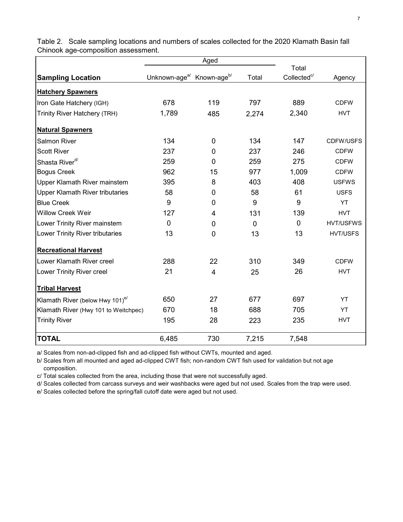| Aged                                        |                                                   |                |              |                         |                  |
|---------------------------------------------|---------------------------------------------------|----------------|--------------|-------------------------|------------------|
|                                             |                                                   |                |              | Total                   |                  |
| <b>Sampling Location</b>                    | Unknown-age <sup>a/</sup> Known-age <sup>b/</sup> |                | Total        | Collected <sup>c/</sup> | Agency           |
| <b>Hatchery Spawners</b>                    |                                                   |                |              |                         |                  |
| Iron Gate Hatchery (IGH)                    | 678                                               | 119            | 797          | 889                     | <b>CDFW</b>      |
| <b>Trinity River Hatchery (TRH)</b>         | 1,789                                             | 485            | 2,274        | 2,340                   | <b>HVT</b>       |
| <b>Natural Spawners</b>                     |                                                   |                |              |                         |                  |
| <b>Salmon River</b>                         | 134                                               | $\mathbf 0$    | 134          | 147                     | CDFW/USFS        |
| <b>Scott River</b>                          | 237                                               | $\overline{0}$ | 237          | 246                     | <b>CDFW</b>      |
| Shasta River <sup>d/</sup>                  | 259                                               | $\overline{0}$ | 259          | 275                     | <b>CDFW</b>      |
| <b>Bogus Creek</b>                          | 962                                               | 15             | 977          | 1,009                   | <b>CDFW</b>      |
| Upper Klamath River mainstem                | 395                                               | 8              | 403          | 408                     | <b>USFWS</b>     |
| <b>Upper Klamath River tributaries</b>      | 58                                                | $\mathbf 0$    | 58           | 61                      | <b>USFS</b>      |
| <b>Blue Creek</b>                           | 9                                                 | $\mathbf 0$    | 9            | 9                       | <b>YT</b>        |
| <b>Willow Creek Weir</b>                    | 127                                               | $\overline{4}$ | 131          | 139                     | <b>HVT</b>       |
| Lower Trinity River mainstem                | $\overline{0}$                                    | $\overline{0}$ | $\mathbf{0}$ | $\overline{0}$          | <b>HVT/USFWS</b> |
| Lower Trinity River tributaries             | 13                                                | $\mathbf 0$    | 13           | 13                      | HVT/USFS         |
| <b>Recreational Harvest</b>                 |                                                   |                |              |                         |                  |
| Lower Klamath River creel                   | 288                                               | 22             | 310          | 349                     | <b>CDFW</b>      |
| Lower Trinity River creel                   | 21                                                | 4              | 25           | 26                      | <b>HVT</b>       |
| <b>Tribal Harvest</b>                       |                                                   |                |              |                         |                  |
| Klamath River (below Hwy 101) <sup>e/</sup> | 650                                               | 27             | 677          | 697                     | YT               |
| Klamath River (Hwy 101 to Weitchpec)        | 670                                               | 18             | 688          | 705                     | YT               |
| <b>Trinity River</b>                        | 195                                               | 28             | 223          | 235                     | <b>HVT</b>       |
| <b>TOTAL</b>                                | 6,485                                             | 730            | 7,215        | 7,548                   |                  |

Table 2. Scale sampling locations and numbers of scales collected for the 2020 Klamath Basin fall Chinook age-composition assessment.

a/ Scales from non-ad-clipped fish and ad-clipped fish without CWTs, mounted and aged.

b/ Scales from all mounted and aged ad-clipped CWT fish; non-random CWT fish used for validation but not age composition.

c/ Total scales collected from the area, including those that were not successfully aged.

d/ Scales collected from carcass surveys and weir washbacks were aged but not used. Scales from the trap were used.

e/ Scales collected before the spring/fall cutoff date were aged but not used.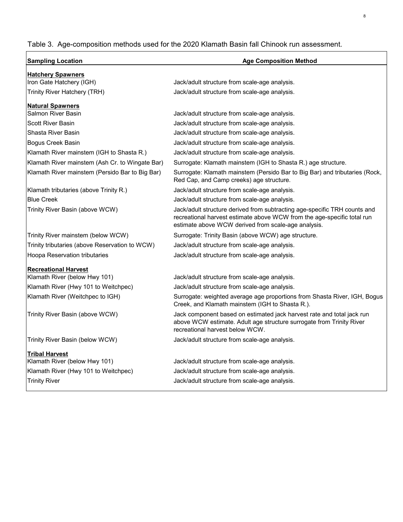### Table 3. Age-composition methods used for the 2020 Klamath Basin fall Chinook run assessment.

| <b>Sampling Location</b>                        | <b>Age Composition Method</b>                                                                                                                                                                               |  |  |
|-------------------------------------------------|-------------------------------------------------------------------------------------------------------------------------------------------------------------------------------------------------------------|--|--|
| <b>Hatchery Spawners</b>                        |                                                                                                                                                                                                             |  |  |
| Iron Gate Hatchery (IGH)                        | Jack/adult structure from scale-age analysis.                                                                                                                                                               |  |  |
| <b>Trinity River Hatchery (TRH)</b>             | Jack/adult structure from scale-age analysis.                                                                                                                                                               |  |  |
| <b>Natural Spawners</b>                         |                                                                                                                                                                                                             |  |  |
| <b>Salmon River Basin</b>                       | Jack/adult structure from scale-age analysis.                                                                                                                                                               |  |  |
| <b>Scott River Basin</b>                        | Jack/adult structure from scale-age analysis.                                                                                                                                                               |  |  |
| <b>Shasta River Basin</b>                       | Jack/adult structure from scale-age analysis.                                                                                                                                                               |  |  |
| Bogus Creek Basin                               | Jack/adult structure from scale-age analysis.                                                                                                                                                               |  |  |
| Klamath River mainstem (IGH to Shasta R.)       | Jack/adult structure from scale-age analysis.                                                                                                                                                               |  |  |
| Klamath River mainstem (Ash Cr. to Wingate Bar) | Surrogate: Klamath mainstem (IGH to Shasta R.) age structure.                                                                                                                                               |  |  |
| Klamath River mainstem (Persido Bar to Big Bar) | Surrogate: Klamath mainstem (Persido Bar to Big Bar) and tributaries (Rock,<br>Red Cap, and Camp creeks) age structure.                                                                                     |  |  |
| Klamath tributaries (above Trinity R.)          | Jack/adult structure from scale-age analysis.                                                                                                                                                               |  |  |
| <b>Blue Creek</b>                               | Jack/adult structure from scale-age analysis.                                                                                                                                                               |  |  |
| Trinity River Basin (above WCW)                 | Jack/adult structure derived from subtracting age-specific TRH counts and<br>recreational harvest estimate above WCW from the age-specific total run<br>estimate above WCW derived from scale-age analysis. |  |  |
| Trinity River mainstem (below WCW)              | Surrogate: Trinity Basin (above WCW) age structure.                                                                                                                                                         |  |  |
| Trinity tributaries (above Reservation to WCW)  | Jack/adult structure from scale-age analysis.                                                                                                                                                               |  |  |
| <b>Hoopa Reservation tributaries</b>            | Jack/adult structure from scale-age analysis.                                                                                                                                                               |  |  |
| <b>Recreational Harvest</b>                     |                                                                                                                                                                                                             |  |  |
| Klamath River (below Hwy 101)                   | Jack/adult structure from scale-age analysis.                                                                                                                                                               |  |  |
| Klamath River (Hwy 101 to Weitchpec)            | Jack/adult structure from scale-age analysis.                                                                                                                                                               |  |  |
| Klamath River (Weitchpec to IGH)                | Surrogate: weighted average age proportions from Shasta River, IGH, Bogus<br>Creek, and Klamath mainstem (IGH to Shasta R.).                                                                                |  |  |
| Trinity River Basin (above WCW)                 | Jack component based on estimated jack harvest rate and total jack run<br>above WCW estimate. Adult age structure surrogate from Trinity River<br>recreational harvest below WCW.                           |  |  |
| Trinity River Basin (below WCW)                 | Jack/adult structure from scale-age analysis.                                                                                                                                                               |  |  |
| <b>Tribal Harvest</b>                           |                                                                                                                                                                                                             |  |  |
| Klamath River (below Hwy 101)                   | Jack/adult structure from scale-age analysis.                                                                                                                                                               |  |  |
| Klamath River (Hwy 101 to Weitchpec)            | Jack/adult structure from scale-age analysis.                                                                                                                                                               |  |  |
| <b>Trinity River</b>                            | Jack/adult structure from scale-age analysis.                                                                                                                                                               |  |  |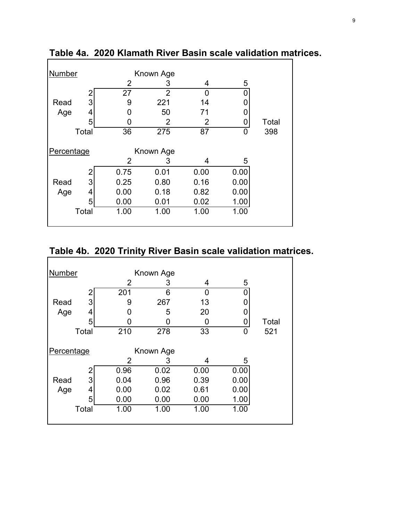| Number     |       |      | Known Age      |      |      |       |
|------------|-------|------|----------------|------|------|-------|
|            |       | 2    | 3              | 4    | 5    |       |
|            |       | 27   | 2              | ∩    |      |       |
| Read       | 3     | 9    | 221            | 14   |      |       |
| Age        | 4     | O    | 50             | 71   |      |       |
|            | 5     | 0    | 2              | 2    | 0    | Total |
|            | Total | 36   | 275            | 87   | 0    | 398   |
| Percentage |       | 2    | Known Age<br>3 | 4    | 5    |       |
|            | 2     | 0.75 | 0.01           | 0.00 | 0.00 |       |
| Read       | 3     | 0.25 | 0.80           | 0.16 | 0.00 |       |
| Age        | 4     | 0.00 | 0.18           | 0.82 | 0.00 |       |
|            | 5     | 0.00 | 0.01           | 0.02 | 1.00 |       |
|            | Total | 1.00 | 1.00           | 1.00 | 1.00 |       |
|            |       |      |                |      |      |       |

**Table 4a. 2020 Klamath River Basin scale validation matrices.**

### **Table 4b. 2020 Trinity River Basin scale validation matrices.**

| Number     |       |      | Known Age |      |      |       |
|------------|-------|------|-----------|------|------|-------|
|            |       | 2    | 3         | 4    | 5    |       |
|            | 2     | 201  | 6         | O    |      |       |
| Read       | 3     | 9    | 267       | 13   |      |       |
| Age        | 4     | O    | 5         | 20   |      |       |
|            | 5     |      |           | O    |      | Total |
|            | Total | 210  | 278       | 33   | 0    | 521   |
|            |       |      |           |      |      |       |
| Percentage |       |      | Known Age |      |      |       |
|            |       | 2    | 3         | 4    | 5    |       |
|            | 2     | 0.96 | 0.02      | 0.00 | 0.00 |       |
| Read       | 3     | 0.04 | 0.96      | 0.39 | 0.00 |       |
| Age        | 4     | 0.00 | 0.02      | 0.61 | 0.00 |       |
|            |       |      | 0.00      | 0.00 | 1.00 |       |
|            | 5     | 0.00 |           |      |      |       |
|            | Total | 1.00 | 1.00      | 1.00 | 1.00 |       |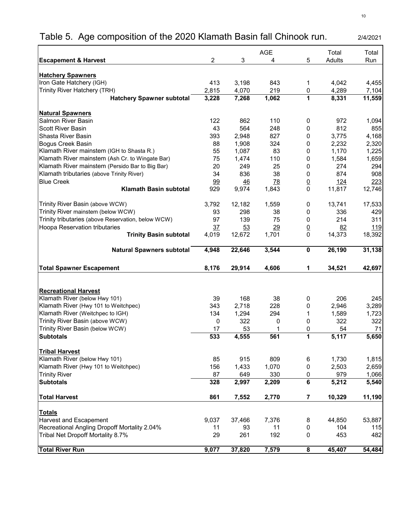|                                                    |                         |                           | <b>AGE</b>               |                                  | Total         | Total       |
|----------------------------------------------------|-------------------------|---------------------------|--------------------------|----------------------------------|---------------|-------------|
| <b>Escapement &amp; Harvest</b>                    | $\overline{2}$          | 3                         | 4                        | 5                                | <b>Adults</b> | Run         |
|                                                    |                         |                           |                          |                                  |               |             |
| <b>Hatchery Spawners</b>                           |                         |                           |                          |                                  |               |             |
| Iron Gate Hatchery (IGH)                           | 413                     | 3,198                     | 843                      | 1                                | 4,042         | 4,455       |
| <b>Trinity River Hatchery (TRH)</b>                | 2,815                   | 4,070                     | 219                      | 0                                | 4,289         | 7,104       |
| <b>Hatchery Spawner subtotal</b>                   | 3,228                   | 7,268                     | 1,062                    | 1                                | 8,331         | 11,559      |
| <b>Natural Spawners</b>                            |                         |                           |                          |                                  |               |             |
| <b>Salmon River Basin</b>                          | 122                     | 862                       | 110                      | 0                                | 972           | 1,094       |
| <b>Scott River Basin</b>                           | 43                      | 564                       | 248                      | 0                                | 812           | 855         |
| <b>Shasta River Basin</b>                          | 393                     | 2,948                     | 827                      | 0                                | 3,775         | 4,168       |
| <b>Bogus Creek Basin</b>                           | 88                      | 1,908                     | 324                      | 0                                | 2,232         | 2,320       |
| Klamath River mainstem (IGH to Shasta R.)          | 55                      | 1,087                     | 83                       | 0                                | 1,170         | 1,225       |
| Klamath River mainstem (Ash Cr. to Wingate Bar)    | 75                      | 1,474                     | 110                      | 0                                | 1,584         | 1,659       |
| Klamath River mainstem (Persido Bar to Big Bar)    | 20                      | 249                       | 25                       | 0                                | 274           | 294         |
| Klamath tributaries (above Trinity River)          | 34                      | 836                       | 38                       | 0                                | 874           | 908         |
| <b>Blue Creek</b>                                  |                         |                           |                          |                                  |               |             |
| <b>Klamath Basin subtotal</b>                      | $\underline{99}$        | $\frac{46}{1}$            | <u>78</u>                | $\overline{0}$<br>$\overline{0}$ | <u>124</u>    | 223         |
|                                                    | 929                     | 9,974                     | 1,843                    |                                  | 11,817        | 12,746      |
| Trinity River Basin (above WCW)                    | 3,792                   | 12,182                    | 1,559                    | 0                                | 13,741        | 17,533      |
| Trinity River mainstem (below WCW)                 | 93                      | 298                       | 38                       | 0                                | 336           | 429         |
| Trinity tributaries (above Reservation, below WCW) | 97                      | 139                       | 75                       | 0                                | 214           | 311         |
| <b>Hoopa Reservation tributaries</b>               |                         |                           |                          |                                  | 82            | <u> 119</u> |
| <b>Trinity Basin subtotal</b>                      | $\frac{37}{2}$<br>4,019 | $\overline{53}$<br>12,672 | $\overline{29}$<br>1,701 | $\frac{0}{0}$                    | 14,373        | 18,392      |
|                                                    |                         |                           |                          |                                  |               |             |
| <b>Natural Spawners subtotal</b>                   | 4,948                   | 22,646                    | 3,544                    | $\mathbf 0$                      | 26,190        | 31,138      |
| <b>Total Spawner Escapement</b>                    | 8,176                   | 29,914                    | 4,606                    | 1                                | 34,521        |             |
|                                                    |                         |                           |                          |                                  |               | 42,697      |
|                                                    |                         |                           |                          |                                  |               |             |
| <b>Recreational Harvest</b>                        |                         |                           |                          |                                  |               |             |
| Klamath River (below Hwy 101)                      | 39                      | 168                       | 38                       | 0                                | 206           | 245         |
| Klamath River (Hwy 101 to Weitchpec)               | 343                     | 2,718                     | 228                      | 0                                | 2,946         | 3,289       |
| Klamath River (Weitchpec to IGH)                   | 134                     | 1,294                     | 294                      |                                  | 1,589         | 1,723       |
| Trinity River Basin (above WCW)                    | 0                       | 322                       | 0                        | 0                                | 322           | 322         |
| Trinity River Basin (below WCW)                    | 17                      | 53                        |                          | 0                                | 54            | 71          |
| <b>Subtotals</b>                                   | 533                     | 4,555                     | 561                      | 1                                | 5,117         | 5,650       |
|                                                    |                         |                           |                          |                                  |               |             |
| Tribal Harvest                                     |                         |                           |                          |                                  |               |             |
| Klamath River (below Hwy 101)                      | 85                      | 915                       | 809                      | 6                                | 1,730         | 1,815       |
| Klamath River (Hwy 101 to Weitchpec)               | 156                     | 1,433                     | 1,070                    | 0                                | 2,503         | 2,659       |
| <b>Trinity River</b>                               | 87                      | 649                       | 330                      | 0                                | 979           | 1,066       |
| <b>Subtotals</b>                                   | 328                     | 2,997                     | 2,209                    | 6                                | 5,212         | 5,540       |
|                                                    |                         |                           |                          |                                  |               |             |
| <b>Total Harvest</b>                               | 861                     | 7,552                     | 2,770                    | 7                                | 10,329        | 11,190      |
| <b>Totals</b>                                      |                         |                           |                          |                                  |               |             |
| <b>Harvest and Escapement</b>                      | 9,037                   | 37,466                    | 7,376                    | 8                                | 44,850        | 53,887      |
| Recreational Angling Dropoff Mortality 2.04%       | 11                      | 93                        | 11                       | 0                                | 104           | 115         |
| Tribal Net Dropoff Mortality 8.7%                  | 29                      | 261                       | 192                      | $\mathbf 0$                      | 453           | 482         |
|                                                    |                         |                           |                          |                                  |               |             |
| Total River Run                                    | 9,077                   | 37,820                    | 7,579                    | 8                                | 45,407        | 54,484      |

## Table 5. Age composition of the 2020 Klamath Basin fall Chinook run. 2/4/2021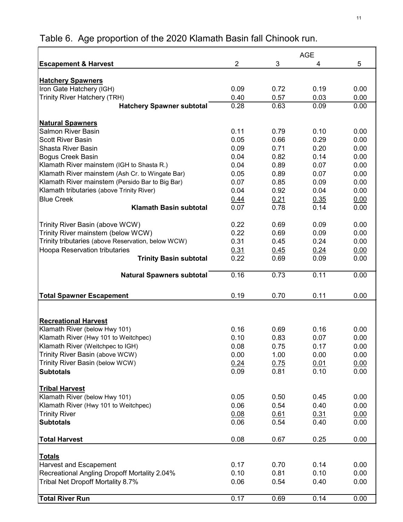|                                                                          |                |              | <b>AGE</b>   |              |
|--------------------------------------------------------------------------|----------------|--------------|--------------|--------------|
| <b>Escapement &amp; Harvest</b>                                          | $\overline{2}$ | 3            | 4            | 5            |
|                                                                          |                |              |              |              |
| <b>Hatchery Spawners</b>                                                 |                |              |              |              |
| Iron Gate Hatchery (IGH)                                                 | 0.09           | 0.72         | 0.19         | 0.00         |
| <b>Trinity River Hatchery (TRH)</b>                                      | 0.40<br>0.28   | 0.57<br>0.63 | 0.03<br>0.09 | 0.00<br>0.00 |
| <b>Hatchery Spawner subtotal</b>                                         |                |              |              |              |
| <b>Natural Spawners</b>                                                  |                |              |              |              |
| <b>Salmon River Basin</b>                                                | 0.11           | 0.79         | 0.10         | 0.00         |
| <b>Scott River Basin</b>                                                 | 0.05           | 0.66         | 0.29         | 0.00         |
| <b>Shasta River Basin</b>                                                | 0.09           | 0.71         | 0.20         | 0.00         |
| <b>Bogus Creek Basin</b>                                                 | 0.04           | 0.82         | 0.14         | 0.00         |
| Klamath River mainstem (IGH to Shasta R.)                                | 0.04           | 0.89         | 0.07         | 0.00         |
| Klamath River mainstem (Ash Cr. to Wingate Bar)                          | 0.05           | 0.89         | 0.07         | 0.00         |
| Klamath River mainstem (Persido Bar to Big Bar)                          | 0.07           | 0.85         | 0.09         | 0.00         |
| Klamath tributaries (above Trinity River)                                | 0.04           | 0.92         | 0.04         | 0.00         |
| <b>Blue Creek</b>                                                        | 0.44           | 0.21         | 0.35         | 0.00         |
| <b>Klamath Basin subtotal</b>                                            | 0.07           | 0.78         | 0.14         | 0.00         |
|                                                                          |                |              |              |              |
| Trinity River Basin (above WCW)                                          | 0.22           | 0.69         | 0.09         | 0.00         |
| Trinity River mainstem (below WCW)                                       | 0.22           | 0.69         | 0.09         | 0.00         |
| Trinity tributaries (above Reservation, below WCW)                       | 0.31           | 0.45         | 0.24         | 0.00         |
| <b>Hoopa Reservation tributaries</b>                                     | 0.31           | 0.45         | 0.24         | 0.00         |
| <b>Trinity Basin subtotal</b>                                            | 0.22           | 0.69         | 0.09         | 0.00         |
| <b>Natural Spawners subtotal</b>                                         | 0.16           | 0.73         | 0.11         | 0.00         |
|                                                                          |                |              |              |              |
| <b>Total Spawner Escapement</b>                                          | 0.19           | 0.70         | 0.11         | 0.00         |
|                                                                          |                |              |              |              |
|                                                                          |                |              |              |              |
| <b>Recreational Harvest</b>                                              |                |              |              |              |
| Klamath River (below Hwy 101)                                            | 0.16           | 0.69         | 0.16         | 0.00         |
| Klamath River (Hwy 101 to Weitchpec)<br>Klamath River (Weitchpec to IGH) | 0.10<br>0.08   | 0.83<br>0.75 | 0.07<br>0.17 | 0.00<br>0.00 |
| Trinity River Basin (above WCW)                                          | 0.00           | 1.00         | 0.00         | 0.00         |
| Trinity River Basin (below WCW)                                          | 0.24           | 0.75         | 0.01         | 0.00         |
| <b>Subtotals</b>                                                         | 0.09           | 0.81         | 0.10         | 0.00         |
|                                                                          |                |              |              |              |
| <b>Tribal Harvest</b>                                                    |                |              |              |              |
| Klamath River (below Hwy 101)                                            | 0.05           | 0.50         | 0.45         | 0.00         |
| Klamath River (Hwy 101 to Weitchpec)                                     | 0.06           | 0.54         | 0.40         | 0.00         |
| <b>Trinity River</b>                                                     | 0.08           | 0.61         | 0.31         | 0.00         |
| <b>Subtotals</b>                                                         | 0.06           | 0.54         | 0.40         | 0.00         |
|                                                                          |                |              |              |              |
| <b>Total Harvest</b>                                                     | 0.08           | 0.67         | 0.25         | 0.00         |
| <b>Totals</b>                                                            |                |              |              |              |
| <b>Harvest and Escapement</b>                                            | 0.17           | 0.70         | 0.14         | 0.00         |
| Recreational Angling Dropoff Mortality 2.04%                             | 0.10           | 0.81         | 0.10         | 0.00         |
| <b>Tribal Net Dropoff Mortality 8.7%</b>                                 | 0.06           | 0.54         | 0.40         | 0.00         |
|                                                                          |                |              |              |              |
| <b>Total River Run</b>                                                   | 0.17           | 0.69         | 0.14         | 0.00         |

## Table 6. Age proportion of the 2020 Klamath Basin fall Chinook run.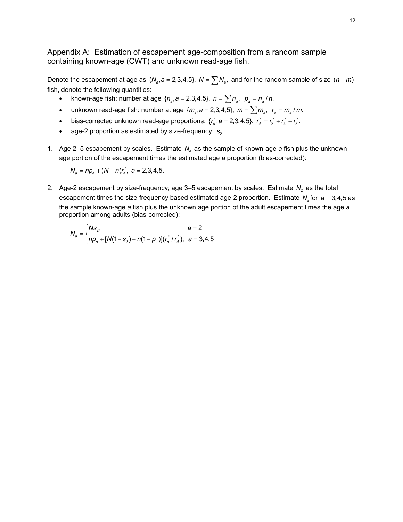Appendix A: Estimation of escapement age-composition from a random sample containing known-age (CWT) and unknown read-age fish.

Denote the escapement at age as  $\{N_a, a = 2, 3, 4, 5\}$ ,  $N = \sum N_a$ , and for the random sample of size  $(n + m)$ fish, denote the following quantities:

- known-age fish: number at age  $\{n_a, a = 2, 3, 4, 5\}$ ,  $n = \sum n_a$ ,  $p_a = n_a / n$ .
- unknown read-age fish: number at age  $\{m_a, a = 2, 3, 4, 5\}$ ,  $m = \sum m_a$ ,  $r_a = m_a / m$ .
- bias-corrected unknown read-age proportions:  $\{r_a^*, a = 2,3,4,5\}$ ,  $r_A^* = r_3^* + r_4^* + r_5^*$ .
- age-2 proportion as estimated by size-frequency:  $s_2$ .
- 1. Age 2–5 escapement by scales. Estimate  $N_a$  as the sample of known-age *a* fish plus the unknown age portion of the escapement times the estimated age *a* proportion (bias-corrected):

 $N_a = np_a + (N - n)r_a$ ,  $a = 2,3,4,5$ .

2. Age-2 escapement by size-frequency; age 3–5 escapement by scales. Estimate  $N_2$  as the total escapement times the size-frequency based estimated age-2 proportion. Estimate  $N_a$  for  $a = 3, 4, 5$  as the sample known-age *a* fish plus the unknown age portion of the adult escapement times the age *a* proportion among adults (bias-corrected):

$$
N_a = \begin{cases} N s_2, & a = 2 \\ np_a + [N(1 - s_2) - n(1 - p_2)](r_a^* / r_A^*), & a = 3, 4, 5 \end{cases}
$$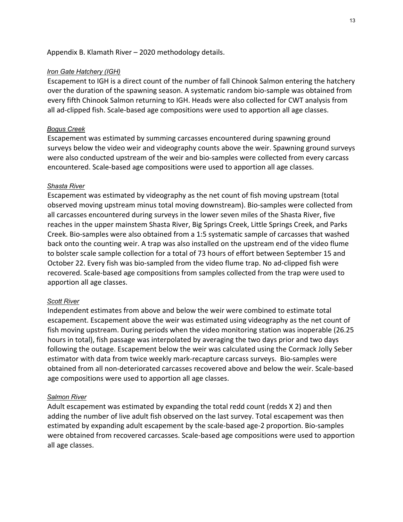Appendix B. Klamath River – 2020 methodology details.

#### *Iron Gate Hatchery (IGH)*

Escapement to IGH is a direct count of the number of fall Chinook Salmon entering the hatchery over the duration of the spawning season. A systematic random bio-sample was obtained from every fifth Chinook Salmon returning to IGH. Heads were also collected for CWT analysis from all ad-clipped fish. Scale-based age compositions were used to apportion all age classes.

#### *Bogus Creek*

Escapement was estimated by summing carcasses encountered during spawning ground surveys below the video weir and videography counts above the weir. Spawning ground surveys were also conducted upstream of the weir and bio-samples were collected from every carcass encountered. Scale-based age compositions were used to apportion all age classes.

#### *Shasta River*

Escapement was estimated by videography as the net count of fish moving upstream (total observed moving upstream minus total moving downstream). Bio-samples were collected from all carcasses encountered during surveys in the lower seven miles of the Shasta River, five reaches in the upper mainstem Shasta River, Big Springs Creek, Little Springs Creek, and Parks Creek. Bio-samples were also obtained from a 1:5 systematic sample of carcasses that washed back onto the counting weir. A trap was also installed on the upstream end of the video flume to bolster scale sample collection for a total of 73 hours of effort between September 15 and October 22. Every fish was bio-sampled from the video flume trap. No ad-clipped fish were recovered. Scale-based age compositions from samples collected from the trap were used to apportion all age classes.

#### *Scott River*

Independent estimates from above and below the weir were combined to estimate total escapement. Escapement above the weir was estimated using videography as the net count of fish moving upstream. During periods when the video monitoring station was inoperable (26.25 hours in total), fish passage was interpolated by averaging the two days prior and two days following the outage. Escapement below the weir was calculated using the Cormack Jolly Seber estimator with data from twice weekly mark-recapture carcass surveys. Bio-samples were obtained from all non-deteriorated carcasses recovered above and below the weir. Scale-based age compositions were used to apportion all age classes.

#### *Salmon River*

Adult escapement was estimated by expanding the total redd count (redds X 2) and then adding the number of live adult fish observed on the last survey. Total escapement was then estimated by expanding adult escapement by the scale-based age-2 proportion. Bio-samples were obtained from recovered carcasses. Scale-based age compositions were used to apportion all age classes.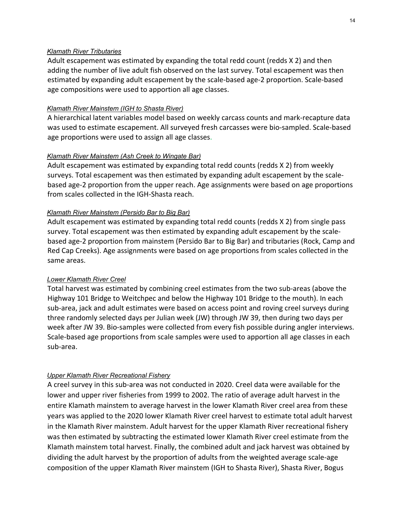#### *Klamath River Tributaries*

Adult escapement was estimated by expanding the total redd count (redds X 2) and then adding the number of live adult fish observed on the last survey. Total escapement was then estimated by expanding adult escapement by the scale-based age-2 proportion. Scale-based age compositions were used to apportion all age classes.

#### *Klamath River Mainstem (IGH to Shasta River)*

A hierarchical latent variables model based on weekly carcass counts and mark-recapture data was used to estimate escapement. All surveyed fresh carcasses were bio-sampled. Scale-based age proportions were used to assign all age classes.

#### *Klamath River Mainstem (Ash Creek to Wingate Bar)*

Adult escapement was estimated by expanding total redd counts (redds X 2) from weekly surveys. Total escapement was then estimated by expanding adult escapement by the scalebased age-2 proportion from the upper reach. Age assignments were based on age proportions from scales collected in the IGH-Shasta reach.

#### *Klamath River Mainstem (Persido Bar to Big Bar)*

Adult escapement was estimated by expanding total redd counts (redds X 2) from single pass survey. Total escapement was then estimated by expanding adult escapement by the scalebased age-2 proportion from mainstem (Persido Bar to Big Bar) and tributaries (Rock, Camp and Red Cap Creeks). Age assignments were based on age proportions from scales collected in the same areas.

#### *Lower Klamath River Creel*

Total harvest was estimated by combining creel estimates from the two sub-areas (above the Highway 101 Bridge to Weitchpec and below the Highway 101 Bridge to the mouth). In each sub-area, jack and adult estimates were based on access point and roving creel surveys during three randomly selected days per Julian week (JW) through JW 39, then during two days per week after JW 39. Bio-samples were collected from every fish possible during angler interviews. Scale-based age proportions from scale samples were used to apportion all age classes in each sub-area.

#### *Upper Klamath River Recreational Fishery*

A creel survey in this sub-area was not conducted in 2020. Creel data were available for the lower and upper river fisheries from 1999 to 2002. The ratio of average adult harvest in the entire Klamath mainstem to average harvest in the lower Klamath River creel area from these years was applied to the 2020 lower Klamath River creel harvest to estimate total adult harvest in the Klamath River mainstem. Adult harvest for the upper Klamath River recreational fishery was then estimated by subtracting the estimated lower Klamath River creel estimate from the Klamath mainstem total harvest. Finally, the combined adult and jack harvest was obtained by dividing the adult harvest by the proportion of adults from the weighted average scale-age composition of the upper Klamath River mainstem (IGH to Shasta River), Shasta River, Bogus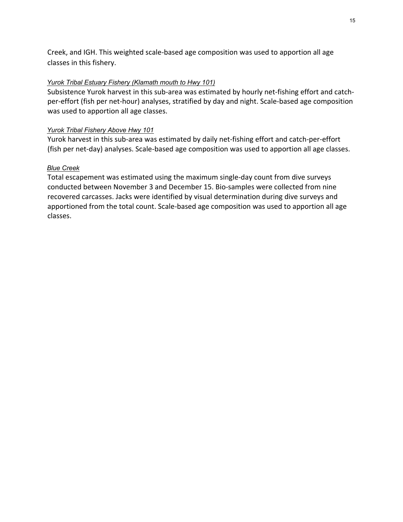Creek, and IGH. This weighted scale-based age composition was used to apportion all age classes in this fishery.

#### *Yurok Tribal Estuary Fishery (Klamath mouth to Hwy 101)*

Subsistence Yurok harvest in this sub-area was estimated by hourly net-fishing effort and catchper-effort (fish per net-hour) analyses, stratified by day and night. Scale-based age composition was used to apportion all age classes.

#### *Yurok Tribal Fishery Above Hwy 101*

Yurok harvest in this sub-area was estimated by daily net-fishing effort and catch-per-effort (fish per net-day) analyses. Scale-based age composition was used to apportion all age classes.

#### *Blue Creek*

Total escapement was estimated using the maximum single-day count from dive surveys conducted between November 3 and December 15. Bio-samples were collected from nine recovered carcasses. Jacks were identified by visual determination during dive surveys and apportioned from the total count. Scale-based age composition was used to apportion all age classes.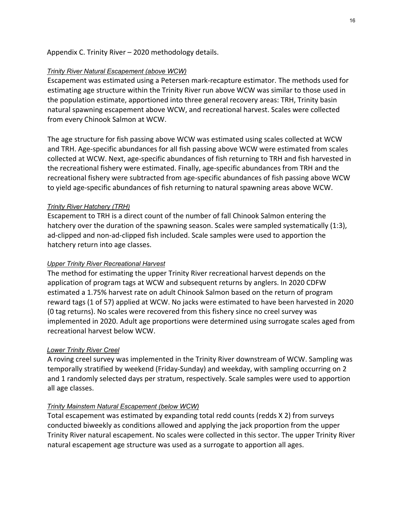#### Appendix C. Trinity River – 2020 methodology details.

#### *Trinity River Natural Escapement (above WCW)*

Escapement was estimated using a Petersen mark-recapture estimator. The methods used for estimating age structure within the Trinity River run above WCW was similar to those used in the population estimate, apportioned into three general recovery areas: TRH, Trinity basin natural spawning escapement above WCW, and recreational harvest. Scales were collected from every Chinook Salmon at WCW.

The age structure for fish passing above WCW was estimated using scales collected at WCW and TRH. Age-specific abundances for all fish passing above WCW were estimated from scales collected at WCW. Next, age-specific abundances of fish returning to TRH and fish harvested in the recreational fishery were estimated. Finally, age-specific abundances from TRH and the recreational fishery were subtracted from age-specific abundances of fish passing above WCW to yield age-specific abundances of fish returning to natural spawning areas above WCW.

#### *Trinity River Hatchery (TRH)*

Escapement to TRH is a direct count of the number of fall Chinook Salmon entering the hatchery over the duration of the spawning season. Scales were sampled systematically (1:3), ad-clipped and non-ad-clipped fish included. Scale samples were used to apportion the hatchery return into age classes.

#### *Upper Trinity River Recreational Harvest*

The method for estimating the upper Trinity River recreational harvest depends on the application of program tags at WCW and subsequent returns by anglers. In 2020 CDFW estimated a 1.75% harvest rate on adult Chinook Salmon based on the return of program reward tags (1 of 57) applied at WCW. No jacks were estimated to have been harvested in 2020 (0 tag returns). No scales were recovered from this fishery since no creel survey was implemented in 2020. Adult age proportions were determined using surrogate scales aged from recreational harvest below WCW.

#### *Lower Trinity River Creel*

A roving creel survey was implemented in the Trinity River downstream of WCW. Sampling was temporally stratified by weekend (Friday-Sunday) and weekday, with sampling occurring on 2 and 1 randomly selected days per stratum, respectively. Scale samples were used to apportion all age classes.

#### *Trinity Mainstem Natural Escapement (below WCW)*

Total escapement was estimated by expanding total redd counts (redds X 2) from surveys conducted biweekly as conditions allowed and applying the jack proportion from the upper Trinity River natural escapement. No scales were collected in this sector. The upper Trinity River natural escapement age structure was used as a surrogate to apportion all ages.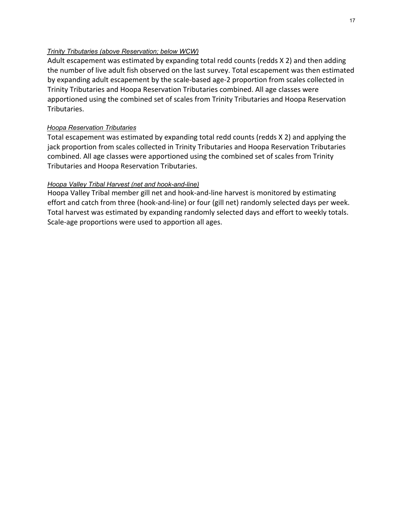#### *Trinity Tributaries (above Reservation; below WCW)*

Adult escapement was estimated by expanding total redd counts (redds X 2) and then adding the number of live adult fish observed on the last survey. Total escapement was then estimated by expanding adult escapement by the scale-based age-2 proportion from scales collected in Trinity Tributaries and Hoopa Reservation Tributaries combined. All age classes were apportioned using the combined set of scales from Trinity Tributaries and Hoopa Reservation Tributaries.

#### *Hoopa Reservation Tributaries*

Total escapement was estimated by expanding total redd counts (redds X 2) and applying the jack proportion from scales collected in Trinity Tributaries and Hoopa Reservation Tributaries combined. All age classes were apportioned using the combined set of scales from Trinity Tributaries and Hoopa Reservation Tributaries.

#### *Hoopa Valley Tribal Harvest (net and hook-and-line)*

Hoopa Valley Tribal member gill net and hook-and-line harvest is monitored by estimating effort and catch from three (hook-and-line) or four (gill net) randomly selected days per week. Total harvest was estimated by expanding randomly selected days and effort to weekly totals. Scale-age proportions were used to apportion all ages.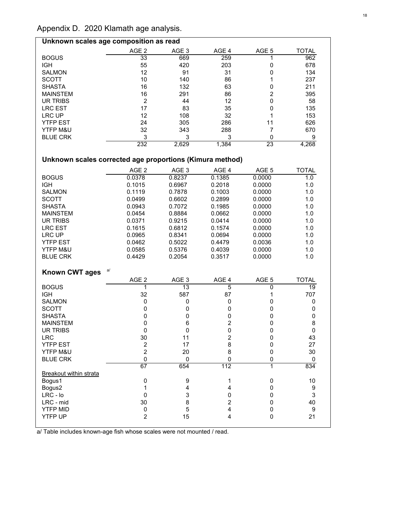|  |  | Appendix D. 2020 Klamath age analysis. |
|--|--|----------------------------------------|
|--|--|----------------------------------------|

| Unknown scales age composition as read |                  |                  |       |                  |              |
|----------------------------------------|------------------|------------------|-------|------------------|--------------|
|                                        | AGE <sub>2</sub> | AGE <sub>3</sub> | AGE 4 | AGE <sub>5</sub> | <b>TOTAL</b> |
| <b>BOGUS</b>                           | 33               | 669              | 259   |                  | 962          |
| <b>IGH</b>                             | 55               | 420              | 203   |                  | 678          |
| <b>SALMON</b>                          | 12               | 91               | 31    |                  | 134          |
| SCOTT                                  | 10               | 140              | 86    |                  | 237          |
| <b>SHASTA</b>                          | 16               | 132              | 63    |                  | 211          |
| MAINSTEM                               | 16               | 291              | 86    |                  | 395          |
| UR TRIBS                               | 2                | 44               | 12    |                  | 58           |
| LRC EST                                | 17               | 83               | 35    | 0                | 135          |
| LRC UP                                 | 12               | 108              | 32    |                  | 153          |
| <b>YTFP EST</b>                        | 24               | 305              | 286   |                  | 626          |
| <b>YTFP M&amp;U</b>                    | 32               | 343              | 288   |                  | 670          |
| <b>BLUE CRK</b>                        | 3                | 3                | 3     |                  | 9            |
|                                        | 232              | 2,629            | 1,384 | 23               | 4,268        |

### **Unknown scales corrected age proportions (Kimura method)**

|                               | AGE <sub>2</sub>          | AGE <sub>3</sub> | AGE 4              | AGE 5                         | <b>TOTAL</b>       |
|-------------------------------|---------------------------|------------------|--------------------|-------------------------------|--------------------|
| <b>BOGUS</b>                  | 0.0378                    | 0.8237           | 0.1385             | 0.0000                        | 1.0                |
| <b>IGH</b>                    | 0.1015                    | 0.6967           | 0.2018             | 0.0000                        | 1.0                |
| <b>SALMON</b>                 | 0.1119                    | 0.7878           | 0.1003             | 0.0000                        | 1.0                |
| <b>SCOTT</b>                  | 0.0499                    | 0.6602           | 0.2899             | 0.0000                        | 1.0                |
| <b>SHASTA</b>                 | 0.0943                    | 0.7072           | 0.1985             | 0.0000                        | 1.0                |
| <b>MAINSTEM</b>               | 0.0454                    | 0.8884           | 0.0662             | 0.0000                        | 1.0                |
| <b>UR TRIBS</b>               | 0.0371                    | 0.9215           | 0.0414             | 0.0000                        | 1.0                |
| <b>LRC EST</b>                | 0.1615                    | 0.6812           | 0.1574             | 0.0000                        | 1.0                |
| <b>LRC UP</b>                 | 0.0965                    | 0.8341           | 0.0694             | 0.0000                        | 1.0                |
| <b>YTFP EST</b>               | 0.0462                    | 0.5022           | 0.4479             | 0.0036                        | 1.0                |
| YTFP M&U                      | 0.0585                    | 0.5376           | 0.4039             | 0.0000                        | 1.0                |
| <b>BLUE CRK</b>               | 0.4429                    | 0.2054           | 0.3517             | 0.0000                        | 1.0                |
|                               | a/                        |                  |                    |                               |                    |
| <b>Known CWT ages</b>         |                           |                  |                    |                               |                    |
|                               | AGE <sub>2</sub>          | AGE <sub>3</sub> | AGE 4              | AGE 5                         | <b>TOTAL</b>       |
| <b>BOGUS</b>                  | 1                         | 13               | $\overline{5}$     | $\overline{0}$                | 19                 |
| <b>IGH</b>                    | 32                        | 587              | 87                 | 1                             | 707                |
| <b>SALMON</b>                 | $\mathbf 0$               | 0                | $\mathbf 0$        | $\mathbf 0$                   | 0                  |
| <b>SCOTT</b>                  | $\pmb{0}$                 | $\mathbf 0$      | $\mathbf 0$        | $\overline{0}$                | $\mathbf 0$        |
| <b>SHASTA</b>                 | $\mathbf 0$               | $\mathbf 0$      | $\mathbf 0$        | $\overline{0}$                | $\pmb{0}$          |
| <b>MAINSTEM</b>               | $\mathbf 0$               | $6\phantom{1}6$  | $\overline{2}$     | $\mathbf 0$                   | 8                  |
| <b>UR TRIBS</b>               | $\mathbf 0$               | $\mathbf 0$      | $\mathbf 0$        | $\mathbf 0$                   | $\mathbf 0$        |
| <b>LRC</b>                    | 30                        | 11               | $\overline{2}$     | $\mathbf 0$                   | 43                 |
| <b>YTFP EST</b>               | $\overline{c}$            | 17               | 8                  | $\mathbf 0$                   | 27                 |
| YTFP M&U                      | $\overline{2}$            | 20               | 8                  | $\mathbf 0$                   | 30                 |
| <b>BLUE CRK</b>               | $\mathsf{O}\xspace$<br>67 | 0                | $\mathbf 0$<br>112 | $\mathbf 0$<br>$\overline{1}$ | $\mathbf 0$<br>834 |
| <b>Breakout within strata</b> |                           | 654              |                    |                               |                    |
| Bogus1                        | $\mathbf 0$               | 9                | 1                  | $\mathbf 0$                   | 10                 |
| Bogus2                        | 1                         | 4                | 4                  | $\overline{0}$                | $9\,$              |
| LRC - lo                      | $\mathbf 0$               | 3                | $\mathbf 0$        | 0                             | $\mathfrak{S}$     |
| LRC - mid                     | 30                        | 8                | $\overline{2}$     | $\overline{0}$                | 40                 |
| <b>YTFP MID</b>               | $\pmb{0}$                 | 5                | 4                  | $\pmb{0}$                     | $9\,$              |
| <b>YTFP UP</b>                | $\overline{2}$            | 15               | 4                  | $\overline{0}$                | 21                 |
|                               |                           |                  |                    |                               |                    |

a/ Table includes known-age fish whose scales were not mounted / read.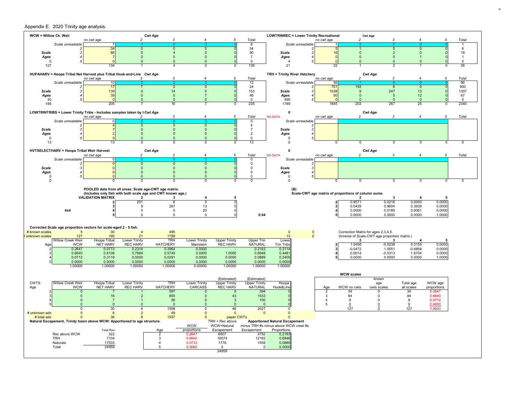| Appendix E. 2020 Trinity age analysis. |  |  |  |
|----------------------------------------|--|--|--|
|----------------------------------------|--|--|--|

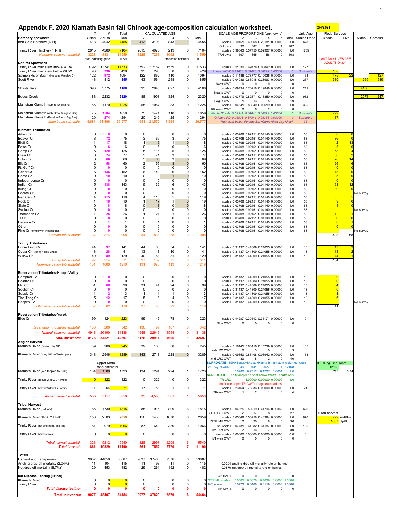# **Appendix F. 2020 Klamath Basin fall Chinook age-composition calculation worksheet. 2/4/2021**

| Appenuix F. Zuzu Maniaur Dasin fair Uningun age-Cumpusitiun Calculatiun wurksneet.                             |                   |                                      | Total                 |                   | <b>CALCULATED AGE</b> |                     |                            |                       | <del>liti lvli</del><br><b>SCALE AGE PROPORTIONS (unknowns)</b><br><b>Redd Surveys</b><br>Unk. Age                                                                                                                                 |
|----------------------------------------------------------------------------------------------------------------|-------------------|--------------------------------------|-----------------------|-------------------|-----------------------|---------------------|----------------------------|-----------------------|------------------------------------------------------------------------------------------------------------------------------------------------------------------------------------------------------------------------------------|
| <b>Hatchery spawners</b><br>Iron Gate Hatchery (IGH)                                                           | Grilse<br>413     | Adults<br>4042                       | Run<br>4455           | 2<br>413          | 3<br>3198             | 843                 | 5                          | Total<br>4455         | 5 Total Scales Read<br>Live<br>Video<br>Carcass<br>Redds<br>scales 0.10151 0.69668 0.20181 0.00000<br>678<br>1.0                                                                                                                   |
| Trinity River Hatchery (TRH)<br>Hatchery spawner subtotal:                                                     | 2815<br>3228      | 4289<br>8331                         | 7104<br>11559         | 2815<br>3228      | 4070<br>7268          | 219<br>1062         |                            | 7104<br>11559         | 32<br>587<br>707<br>IGH cwts<br>87<br>1789<br>scales 0.39643 0.57450 0.02907 0.00000<br>1.0<br>1508<br>597<br>855<br>56<br><b>TRH cwts</b><br>0                                                                                    |
| <b>Natural Spawners</b>                                                                                        |                   | prop. hatchery grilse                | 0.279                 |                   |                       | proportion hatchery |                            |                       | <b>LAST DAY LIVES ARE</b><br><b>ADULTS ONLY</b>                                                                                                                                                                                    |
| Trinity River mainstem above WCW<br>Trinity River mainstem below WCW                                           | 3792<br>93        | 13741<br>336                         | 17533<br>429          | 3792<br>93        | 12182<br>298          | 1559<br>38          |                            | 17533<br>429          | scales 0.21630 0.69478 0.08892 0.00000<br>127<br>1.0<br><b>168</b><br>Above WCW 0.21630 0.69478 0.08892 0.00000<br>1.0<br>Surrogate                                                                                                |
| Salmon River Basin (includes Wooley Cr)                                                                        | 122               | 972                                  | 1094                  | 122               | 862                   | 110                 |                            | 1094                  | 475<br>127<br>22<br>134<br>scales 0.11188 0.78777 0.10035 0.00000<br>1.0                                                                                                                                                           |
| <b>Scott River</b>                                                                                             | 43                | 812                                  | 855                   | 43                | 564                   | 248                 |                            | 855                   | <b>380</b><br>269<br>586<br>237<br>scales 0.04989 0.66018 0.28993 0.00000<br>1.0<br><b>Scott CWT</b><br>$\mathbf 0$<br>$\Omega$<br>$\Omega$<br>$\Omega$                                                                            |
| Shasta River                                                                                                   | 393               | 3775                                 | 4168                  | 393               | 2948                  | 827                 | 0                          | 4168                  | 4168<br>211<br>scales 0.09434 0.70718 0.19848 0.00000<br>1.0<br>Shasta CWT<br>$\mathbf 0$<br>$\Omega$<br>$\Omega$                                                                                                                  |
| <b>Bogus Creek</b>                                                                                             | 88                | 2232                                 | 2320                  | 88                | 1908                  | 324                 | $\mathbf{0}$               | 2320                  | 247<br>2073<br>962<br>scales 0.03779 0.82371 0.13850 0.00000<br>1.0<br>19<br><b>Bogus CWT</b><br>13                                                                                                                                |
| Mainstem Klamath (IGH to Shasta R)                                                                             | 55                | 1170                                 | 1225                  | 55                | 1087                  | 83                  | 0                          | 1225                  | 395<br>scales 0.04541 0.88840 0.06619 0.00000<br>1.0<br><b>KR</b> main CWT<br>8<br>$\Omega$                                                                                                                                        |
| Mainstem Klamath (Ash Cr to Wingate Bar)<br>Mainstem Klamath (Persido Bar to Big Bar)<br>Main basin subtotals: | 75<br>20<br>4,681 | 1584<br>274<br>24,896                | 1659<br>294<br>29,577 | 75<br>20<br>4,681 | 1474<br>249<br>21,572 | 110<br>25<br>3,324  | $\overline{0}$<br>$\Omega$ | 1659<br>294<br>29,577 | <u>792</u><br>IGH to Shasta 0.04541 0.88840 0.06619 0.00000<br>1.0 <sub>1</sub><br>Surrogate<br><b>137</b><br>Orleans RD 0.06803 0.84844 0.08353 0.00000<br>1.0<br>Surrogate<br>35<br>Mainstem below Persido Bar+Camp+Red Cap+Rock |
| <b>Klamath Tributaries</b>                                                                                     |                   |                                      |                       |                   |                       |                     |                            |                       |                                                                                                                                                                                                                                    |
| Aiken Cr<br>Beaver Cr                                                                                          |                   | 72                                   | 75                    |                   | 69                    |                     |                            |                       | scales 0.03708 0.92151 0.04140 0.00000<br>58<br>$\overline{0}$<br>1.0<br>36<br>scales 0.03708 0.92151 0.04140 0.00000<br>58<br>1.0                                                                                                 |
| <b>Bluff Cr</b><br>Boise Cr                                                                                    |                   |                                      | 18                    |                   | 16                    |                     |                            | 18                    | scales 0.03708 0.92151 0.04140 0.00000<br>1.0<br>58<br>scales 0.03708 0.92151 0.04140 0.00000<br>1.0<br>58                                                                                                                         |
| Camp Cr<br>Clear Cr                                                                                            |                   | 120<br>74                            | 125<br>77             | J.                | 115<br>71             |                     |                            | 125<br>77             | 58<br>scales 0.03708 0.92151 0.04140 0.00000<br>1.0<br>58<br>36<br>scales 0.03708 0.92151 0.04140 0.00000<br>1.0<br>58                                                                                                             |
| Dillon Cr                                                                                                      |                   | 66                                   | 69                    | 3                 | 63                    | 3                   |                            | 69                    | 26<br>scales 0.03708 0.92151 0.04140 0.00000<br>58<br>1.0                                                                                                                                                                          |
| Elk Cr<br>Ft. Goff Cr                                                                                          |                   | 58                                   | 60                    |                   | 55<br>0               | 3                   |                            | 60                    | 26<br>scales 0.03708 0.92151 0.04140 0.00000<br>58<br>1.0<br>scales 0.03708 0.92151 0.04140 0.00000<br>58<br>1.0                                                                                                                   |
| <b>Grider Cr</b><br>Horse Cr                                                                                   |                   | 146<br>10                            | 152<br>10             |                   | 140<br>9              |                     |                            | 152                   | 73<br>58<br>scales 0.03708 0.92151 0.04140 0.00000<br>1.0<br>58<br>scales 0.03708 0.92151 0.04140 0.00000<br>1.0                                                                                                                   |
| Independence Cr<br>Indian Cr                                                                                   |                   | 138                                  | 143                   |                   | 132                   |                     |                            | 143                   | scales 0.03708 0.92151 0.04140 0.00000<br>58<br>1.0<br>63<br>58<br>scales 0.03708 0.92151 0.04140 0.00000<br>1.0                                                                                                                   |
| <b>Irving Cr</b>                                                                                               |                   |                                      |                       |                   |                       |                     |                            |                       | $\overline{0}$<br>scales 0.03708 0.92151 0.04140 0.00000<br>58<br>1.0                                                                                                                                                              |
| Pearch Cr<br>Red Cap Cr                                                                                        |                   | 115                                  | 119                   |                   | 0<br>110              |                     |                            | 119                   | 58<br>scales 0.03708 0.92151 0.04140 0.00000<br>1.0<br>No survey<br>55<br>scales 0.03708 0.92151 0.04140 0.00000<br>1.0<br>58                                                                                                      |
| Rock Cr<br>Slate Cr                                                                                            |                   | 18                                   | 19                    |                   | 17                    |                     |                            | 19                    | 58<br>scales 0.03708 0.92151 0.04140 0.00000<br>1.0<br>58<br>scales 0.03708 0.92151 0.04140 0.00000<br>1.0                                                                                                                         |
| Swillup Cr                                                                                                     |                   |                                      |                       |                   |                       |                     |                            |                       | 58<br>scales 0.03708 0.92151 0.04140 0.00000<br>1.0<br>No survey                                                                                                                                                                   |
| Thompson Cr<br>Ti Cr                                                                                           |                   | 25                                   | 26                    |                   | 24                    |                     |                            | 26                    | 12<br>scales 0.03708 0.92151 0.04140 0.00000<br>58<br>1.0<br>scales 0.03708 0.92151 0.04140 0.00000<br>1.0<br>58                                                                                                                   |
| Ukonom Cr<br>Other                                                                                             |                   |                                      |                       | $\Omega$          |                       |                     |                            |                       | scales 0.03708 0.92151 0.04140 0.00000<br>58<br>1.0<br>scales 0.03708 0.92151 0.04140 0.00000<br>58<br>1.0                                                                                                                         |
| Pine Cr (formerly in Hoopa tribs)<br>Klamath trib subtotal:                                                    | 34                | 874                                  | 90                    | 34                | 836                   | 38                  |                            | 908                   | scales 0.03708 0.92151 0.04140 0.00000<br>1.0<br>58<br>No survey<br>408<br>58                                                                                                                                                      |
| <b>Trinity Tributaries</b><br>Horse Linto Cr                                                                   | 44                | 97                                   | 141                   | 44                | 63                    | 34                  |                            | 141                   | scales 0.31137 0.44809 0.24055 0.00000<br>47<br>13<br>1.0                                                                                                                                                                          |
| Cedar Cr (trib to Horse Linto)                                                                                 | 13                | 28                                   | 41                    | 13                | 18                    | 10                  | $\mathbf 0$                | 41                    | 13<br>scales 0.31137 0.44809 0.24055 0.00000<br>13<br>1.0                                                                                                                                                                          |
| <b>Willow Cr</b><br>Trinity trib subtotal:                                                                     | 40<br>97          | 89<br>214                            | 129<br>311            | 40<br>97          | 58<br>139             | 31<br>75            | $\overline{0}$<br>$\Omega$ | 129<br>311            | 44<br>scales 0.31137 0.44809 0.24055 0.00000<br>13<br>1.0<br>104                                                                                                                                                                   |
| Non-reservation trib subtotal.                                                                                 | 131               | 1088                                 | 1219                  | 131               | 975                   | 113                 | $\overline{0}$             | 1219                  |                                                                                                                                                                                                                                    |
| <b>Reservation Tributaries-Hoopa Valley</b><br><b>Campbell Cr</b>                                              |                   |                                      |                       |                   |                       |                     |                            |                       | scales 0.31137 0.44809 0.24055 0.00000<br>13<br>1.0                                                                                                                                                                                |
| <b>Hostler Cr</b><br>Mill Cr                                                                                   | 31                |                                      |                       | $\Omega$<br>31    |                       |                     |                            |                       | 1.0<br>13<br>scales 0.31137 0.44809 0.24055 0.00000                                                                                                                                                                                |
| Soctish Cr                                                                                                     |                   |                                      | 99                    |                   | 44                    | 24                  |                            | 99                    | scales 0.31137 0.44809 0.24055 0.00000<br>13 <sup>°</sup><br>1.0<br>13<br>scales 0.31137 0.44809 0.24055 0.00000<br>1.0                                                                                                            |
| Supply Cr<br>Tish Tang Cr                                                                                      |                   | 12                                   | 17                    |                   |                       |                     |                            |                       | scales 0.31137 0.44809 0.24055 0.00000<br>1.0<br>13 <sup>°</sup><br>scales 0.31137 0.44809 0.24055 0.00000<br>1.0<br>13                                                                                                            |
| Hospital Cr<br>HVT reservation trib subtotal:                                                                  | 37                | 82                                   | 11 <sub>5</sub>       | 37                | 53                    | 29                  |                            | 11 <sup>5</sup>       | scales 0.31137 0.44809 0.24055 0.00000<br>1.0<br>13<br>No survey<br>41                                                                                                                                                             |
| <b>Reservation Tributaries-Yurok</b>                                                                           |                   |                                      |                       |                   |                       |                     |                            |                       |                                                                                                                                                                                                                                    |
| <b>Blue Cr</b>                                                                                                 | 99                | 124                                  | 223                   | 99                | 46                    | 78                  |                            | 223                   | scales 0.44287 0.20542 0.35171 0.00000<br>1.0<br>9<br><b>Blue CWT</b><br>$\overline{0}$                                                                                                                                            |
| <b>Reservation tributaries subtotal.</b>                                                                       | 136               | 206                                  | 342                   | 136               | 99                    | 107                 | $\mathbf{0}$               | 342                   |                                                                                                                                                                                                                                    |
| Natural spawner subtotal:<br><b>Total spawners:</b>                                                            | 4948<br>8176      | 26190<br>34521                       | 31138<br>42697        | 4948<br>8176      | 22646<br>29914        | 3544<br>4606        | $\overline{0}$             | 31138<br>42697        |                                                                                                                                                                                                                                    |
| <b>Angler Harvest</b><br>Klamath River (below Hwy 101)                                                         | 39                | 206                                  | 245                   | 39                | 168                   | 38                  |                            | 245                   | scales 0.16145 0.68116 0.15739 0.00000<br>135<br>1.0                                                                                                                                                                               |
|                                                                                                                |                   |                                      |                       |                   |                       |                     |                            |                       | est-LRC CWT<br>$\mathbf{3}$                                                                                                                                                                                                        |
| Klamath River (Hwy 101 to Weitchpec)                                                                           | 343               | 2946                                 | 3289                  | 343               | 2718                  | 228                 | $\overline{0}$             | 3289                  | scales 0.09650 0.83408 0.06942 0.00000<br>153<br>1.0<br>mid-LRC CWT<br>30<br>40                                                                                                                                                    |
|                                                                                                                |                   | <b>Upper Klam</b><br>ratio estimator |                       |                   |                       |                     |                            |                       | <b>SURROGATE - IGH+Bogus+Shasta+Klamath mainstem weighted totals</b><br>IGH+Bog+Sha+Klam<br>12168<br>12168<br>IGH+Bog+Sha+Klam<br>2077<br>949.                                                                                     |
| Klamath River (Weitchpec to IGH)                                                                               | 134               | 1589                                 | 1723                  | 134               | 1294                  | 294                 |                            | 1723                  | 1723<br>0.0780<br>0.7512 0.1707 0.0001<br>0.14<br>1.0<br><b>SURROGATE</b> - Trinity angler harvest below WCW - adults only                                                                                                         |
| Trinity River (above Willow Cr. Weir)                                                                          | $\overline{0}$    | 322                                  | 322                   | $\overline{0}$    | 322                   | 0                   | $\overline{0}$             | 322                   | <b>TR LRC</b><br>$-1.00000$ 0.00000 0.00000<br>1.0<br>don't use paper TR CWTs in age calculations                                                                                                                                  |
| Trinity River (below Willow Cr. Weir)                                                                          | 17                | 54                                   |                       | 17                | 53                    |                     | $\overline{0}$             | 71                    | scales 0.23164 0.76836 0.00000 0.00000<br>1.0<br>21<br><b>TR-low CWT</b><br>$\mathcal{P}$<br>0<br>-4                                                                                                                               |
| <b>Angler harvest subtotal:</b>                                                                                | 533               | 5117                                 | 5,650                 | 533               | 4,555                 | 561                 |                            | 5650                  |                                                                                                                                                                                                                                    |
| <b>Tribal Harvest</b><br>Klamath River (Estuary)                                                               | 85                | 1730                                 | 1815                  | 85                | 915                   | 809                 | 6                          | 1815                  | scales 0.04625 0.50219 0.44794 0.00362<br>626<br>1.0                                                                                                                                                                               |
| Klamath River (101 to Trinity R)                                                                               | 156               | 2503                                 | 2659                  | 156               | 1433                  | 1070                | $\overline{0}$             | 2659                  | Yurok harvest<br><b>YTFP EST CWT</b><br>27<br>772 MidKlm<br>scales 0.05848 0.53758 0.40394 0.00000<br>1.0<br>670                                                                                                                   |
| Trinity River (net and hook-and-line)                                                                          | 87                | 979                                  | 1066                  | 87                | 649                   | 330                 | $\mathbf 0$                | 1066                  | 1887UpKlm<br>YTFP MU CWT<br>30<br>20<br>2<br>1.0<br>195<br>net scales 0.07731 0.61082 0.31187 0.00000                                                                                                                              |
| Trinity River (harvest weir)                                                                                   | $\mathbf 0$       | 0                                    |                       | $\mathbf 0$       | 0                     | 0                   | $\overline{0}$             |                       | 30<br>HVT net CWT<br>16<br>$0.0\,$<br>weir scales 0.00000 0.00000 0.00000 0.00000<br>$\mathbf 0$                                                                                                                                   |
| Tribal harvest subtotal:                                                                                       | 328               | 5212                                 | 5540                  | 328               | 2997                  | 2209                | 6                          | 5540                  | <b>HVT weir CWT</b><br>$\mathbf 0$<br>$\Omega$<br>$\Omega$<br>$\Omega$                                                                                                                                                             |
| <b>Total harvest:</b>                                                                                          | 861               | 10329                                | 11190                 | 861               | 7552                  | 2770                | $\overline{7}$             | 11190                 |                                                                                                                                                                                                                                    |
| Totals                                                                                                         |                   |                                      |                       |                   |                       |                     |                            |                       |                                                                                                                                                                                                                                    |
| <b>Harvest and Escapement</b><br>Angling drop-off mortality (2.04%)                                            | 9037<br>-11       | 44850<br>104                         | 53887<br>115          | 9037<br>11        | 37466<br>93           | 7376<br>11          | 8<br>$\boldsymbol{0}$      | 53887<br>115          | 0.0204 angling drop-off mortality rate on harvest                                                                                                                                                                                  |
| Net drop-off mortality (8.7%)*                                                                                 | 29                | 453                                  | 482                   | 29                | 261                   | 192                 | $\overline{0}$             | 482                   | 0.0870 net drop-off mortality rate on harvest                                                                                                                                                                                      |
| <b>Ich Disease Testing (Tribal)</b><br><b>Klamath River</b>                                                    |                   |                                      |                       | $\boldsymbol{0}$  |                       |                     |                            |                       | Klam CWTs<br>$\Omega$<br>O YTFP MU scales<br>0.0585<br>0.5376<br>0.4039<br>0.0000 1.0000                                                                                                                                           |
| <b>Trinity River</b>                                                                                           | $\Omega$          | $\overline{0}$                       |                       | $\overline{0}$    | $\overline{0}$        | 0                   | $\boldsymbol{0}$           |                       | 0.0773<br>0 HVT scales<br>0.6108 0.3119<br>0.0000 1.0000                                                                                                                                                                           |
| <b>Total disease testing:</b><br><b>Total in-river run</b>                                                     | 9077              | 45407                                | 54484                 | 9077              | 37820                 | 7579                |                            | 54484                 | Trin CWTs<br>$\overline{0}$<br>0<br>$\mathbf 0$<br>0                                                                                                                                                                               |
|                                                                                                                |                   |                                      |                       |                   |                       |                     |                            |                       |                                                                                                                                                                                                                                    |

20